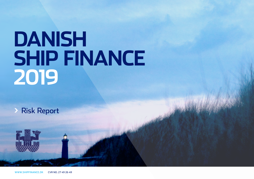# **DANISH SHIP FINANCE 2019**

**>** Risk Report

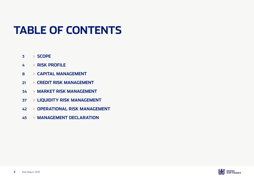# **TABLE OF CONTENTS**

- **[>](#page-2-0) SCOPE**
- **[>](#page-3-0) RISK PROFILE**
- **[>](#page-7-0) CAPITAL MANAGEMENT**
- **[> C](#page-20-0)REDIT RISK MANAGEMENT**
- **[> M](#page-33-0)ARKET RISK MANAGEMENT**
- **[>](#page-36-0) LIQUIDITY RISK MANAGEMENT**
- **[>](#page-41-0) OPERATIONAL RISK MANAGEMENT**
- **[>](#page-44-0) MANAGEMENT DECLARATION**

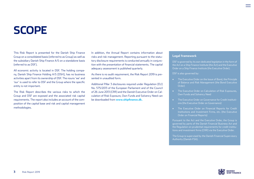# <span id="page-2-0"></span>**SCOPE**

This Risk Report is presented for the Danish Ship Finance Group on a consolidated basis (referred to as Group) as well as the subsidiary Danish Ship Finance A/S on a standalone basis (referred to as DSF).

All economic activity is located in DSF. The holding company, Danish Ship Finance Holding A/S (DSH), has no business activities apart from its ownership of DSF. The nouns 'we' and 'our' is used to refer to DSF and the Group where the specific entity is not important.

The Risk Report describes the various risks to which the Group and DSF are exposed and the associated risk capital requirements. The report also includes an account of the composition of the capital base and risk and capital management methodologies.

In addition, the Annual Report contains information about risks and risk management. Reporting pursuant to the statutory disclosure requirements is conducted annually in conjunction with the presentation of financial statements. The capital adequacy assessment is published quarterly.

As there is no audit requirement, the Risk Report 2019 is presented in unaudited form.

Additional Pillar 3 disclosures required under Regulation (EU) No. 575/2013 of the European Parliament and of the Council of 26 June 2013 (CRR) and the Danish Executive Order on Calculation of Risk Exposure, Own Funds and Solvency Need can be downloaded from **[www.shipfinance.dk.](http://www.shipfinance.dk.)**

#### **Legal framework**

DSF is governed by its own dedicated legislation in the form of the Act on a Ship Finance Institute (the Act) and the Executive Order on a Ship Finance Institute (the Executive Order).

DSF is also governed by:

- The Executive Order on the Issue of Bond, the Principle of Balance and Risk Management (the Bond Executive Order)
- The Executive Order on Calculation of Risk Exposures, Own Funds and Solvency Need
- The Executive Order on Governance for Credit Institutions (the Executive Order on Governance)
- The Executive Order on Financial Reports for Credit Institutions and Investment Firms, etc. (the Executive Order on Financial Reports)

Pursuant to the Act and the Executive Order, the Group is governed by parts of the Danish Financial Business Act and the Regulation on prudential requirements for credit institutions and investment firms (CRR) via the Executive Order.

The Group is supervised by the Danish Financial Supervisory Authority (Danish FSA).

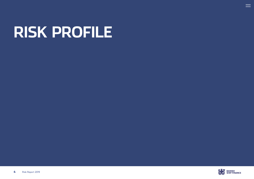# <span id="page-3-0"></span>**RISK PROFILE**



 $\equiv$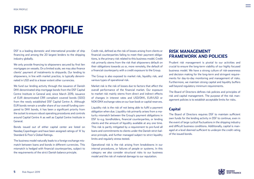# **RISK PROFILE**

DSF is a leading domestic and international provider of ship financing and among the 20 largest lenders to the shipping industry globally.

We only provide financing to shipowners secured by first lien mortgages on vessels. On a limited scale, we may also finance clients' payment of instalments to shipyards. Our lending to shipowners, in line with market practice, is typically denominated in USD and to a lesser extent other currencies.

We fund our lending activity through the issuance of Danish DKK denominated ship mortgage bonds from the DSF Capital Centre Institute in General and, since March 2019, issuance of EUR denominated CRR compliant covered bonds (SDO) from the newly established DSF Capital Centre A. Although EUR bonds remain a smaller share of our overall funding compared to DKK bonds, it has been a significant priority from the outset to ensure robust operating procedures and controls around Capital Centre A as well as Capital Centre Institute in General.

Bonds issued out of either capital center are listed on Nasdaq Copenhagen and have been assigned ratings of 'A' by Standard & Poor's Global Ratings.

The business model naturally leads to a foreign exchange mismatch between loans and bonds in different currencies. This mismatch is hedged with financial counterparties, subject to the requirements of the strict Danish balance principle.

Credit risk, defined as the risk of losses arising from clients or financial counterparties failing to meet their payment obligations, is the primary risk related to this business model. Credit risk primarily stems from the risk that shipowners default on their obligations towards us or, more remotely, the default of a financial counterparty with a credit exposure to the Group.

The Group is also exposed to market risk, liquidity risk, and various types of operational risk.

Market risk is the risk of losses due to factors that affect the overall performance of the financial market. Our exposure to market risk mainly stems from direct and indirect effects of changes in interest rates and USD/DKK, EUR/USD or NOK/DKK exchange rates on our loan book or capital reserves.

Liquidity risk is the risk of not being able to fulfil a payment obligation when due. Liquidity risk primarily arises from a maturity mismatch between the Group's payment obligations in DSF to e.g. bondholders, financial counterparties, or lending clients and the amount of liquidity available at any one time. This risk is partly mitigated by a requirement to pre-fund all loans and commitments to clients under the Danish strict balance principle, and further managed subject to strict liquidity limits and regularly stress tested.

Operational risk is the risk arising from breakdowns in our internal procedures, or failures of people or systems. In this category we also consider structural risks to our business model and the risk of material damage to our reputation.

## **RISK MANAGEMENT FRAMEWORK AND POLICIES**

Prudent risk management is pivotal to our activities and crucial to ensure the long-term viability of our highly focused business model. We have a strong culture of risk-awareness and decision making for the long-term and stringent requirements for day-to-day monitoring and management of risks. Furthermore, we maintain strong capital and liquidity buffers well beyond regulatory minimum requirements.

The Board of Directors defines risk policies and principles of risk and capital management. The purpose of the risk management policies is to establish acceptable limits for risks.

#### **Capital**

The Board of Directors requires DSF to maintain sufficient own funds for the lending activity in DSF to continue, even in the event of large cyclical fluctuations in the shipping industry and difficult business conditions. Additionally, capital is managed at a level deemed sufficient to underpin the credit rating of the issued bonds.

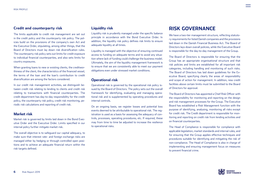#### **Credit and counterparty risk**

The limits applicable to credit risk management are set out in the credit policy and the counterparty risk policy. The policies build on the provisions of the company's own Act and the Executive Order, stipulating, among other things, that the Board of Directors must lay down risk diversification rules. The counterparty risk policy sets out limits for credit exposure to individual financial counterparties, and also sets limits for country exposures.

When granting loans to new or existing clients, the creditworthiness of the client, the characteristics of the financed vessel, the terms of the loan and the loan's contribution to credit diversification are among the factors considered.

In our credit risk management activities, we distinguish between credit risk relating to lending to clients and credit risk relating to transactions with financial counterparties. The credit department has day-to-day responsibility for the credit policy, the counterparty risk policy, credit risk monitoring, periodic risk calculations and reporting of credit risk.

#### **Market risk**

Market risk is governed by limits laid down in the Bond Executive Order and the Executive Order. Limits specified in our internal policy further mitigate market risk.

The overall objective is to safeguard our capital adequacy, to make sure that interest rate- and foreign exchange risks are managed either by hedging or through controlled open positions and to achieve an adequate financial return within the risk targets defined.

#### **Liquidity risk**

Liquidity risk is prudently managed under the specific balance principle in accordance with the Bond Executive Order. In addition, the liquidity risk policy defines risk limits to ensure adequate liquidity at all times.

Liquidity is managed with the objective of ensuring continued access to funding on adequate terms and to avoid any situation where lack of funding could challenge the business model. Ultimately, the aim of the liquidity management framework is to ensure that we are consistently able to meet our payment obligations even under stressed market conditions.

#### **Operational risk**

Operational risk is governed by the operational risk policy issued by the Board of Directors. The policy sets out the overall framework for identifying, evaluating and managing operational risk and is supplemented by operating procedures and internal controls.

On an ongoing basis, we register losses and potential loss events deemed to be attributable to operational risk. The registration is used as a basis for assessing the adequacy of controls, processes, operating procedures, etc. If required, these may from time to time be adjusted to increase the resilience to operational risks.

# **RISK GOVERNANCE**

We have a two-tier management structure, reflecting statutory requirements for listed Danish companies and the provisions laid down in the Danish Financial Business Act. The Board of Directors lays down overall policies, while the Executive Board is responsible for the day-to-day management of the Group.

The Board of Directors is responsible for ensuring that the Group has an appropriate organisational structure and that risk policies and limits are established for all important risk categories, including handling and monitoring of such risks. The Board of Directors has laid down guidelines for the Executive Board, specifying clearly the areas of responsibility and scope of action for management. In addition, new credit facilities above certain limits must be submitted to the Board of Directors for approval.

The Board of Directors has appointed a Chief Risk Officer with the responsibility for monitoring and reporting on the design and risk management processes for the Group. The Executive Board has established a Risk Management function with the purpose of identifying, analysing, monitoring all risks except for credit risk. The Credit department is responsible for monitoring and reporting on credit risk from lending activities and on financial counterparties.

The Head of Compliance is responsible for compliance with applicable legislation, market standards and internal rules, and for ensuring that the Group applies effective techniques and procedures suitable for identifying and mitigating the risk of non-compliance. The Head of Compliance is also in charge of implementing and ensuring management focus on measures to prevent financial crime.

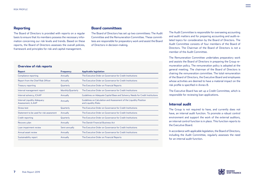#### **Reporting**

The Board of Directors is provided with reports on a regular basis to ensure that its members possess the necessary information concerning our risk levels and trends. Based on these reports, the Board of Directors assesses the overall policies, framework and principles for risk and capital management.

#### **Board committees**

The Board of Directors has set up two committees: The Audit Committee and the Remuneration Committee. These committees are responsible for preparatory work and assist the Board of Directors in decision-making.

#### **Overview of risk reports**

| Report                                                  | <b>Frequency</b>  | <b>Applicable legislation</b>                                                             |
|---------------------------------------------------------|-------------------|-------------------------------------------------------------------------------------------|
| Compliance reporting                                    | Annually          | The Executive Order on Governance for Credit Institutions                                 |
| Report from the Chief Risk Officer                      | Annually          | The Executive Order on Governance for Credit Institutions                                 |
| <b>Treasury reporting</b>                               | Quarterly         | The Executive Order on Financial Reports                                                  |
| Internal management report                              | Monthly/Quarterly | The Executive Order on Governance for Credit Institutions                                 |
| Internal solvency, ICAAP                                | Annually          | Guidelines on Adequate Capital Base and Solvency Needs for Credit Institutions            |
| <b>Internal Liquidity Adequacy</b><br>Assessment, ILAAP | Annually          | Guidelines on Calculation and Assessment of the Liquidity Position<br>and Liquidity Risks |
| Stress test                                             | Quarterly         | The Executive Order on Governance for Credit Institutions                                 |
| Statement to be used for risk assesment                 | Annually          | The Executive Order on Governance for Credit Institutions                                 |
| Credit reporting                                        | Quarterly         | The Executive Order on Governance for Credit Institutions                                 |
| Recovery plan                                           | Annually          | The Danish Financial Business Act                                                         |
| Loan impairment review                                  | Semi-annually     | The Executive Order on Governance for Credit Institutions                                 |
| Annual asset review                                     | Annually          | The Executive Order on Governance for Credit Institutions                                 |
| Sustainability report                                   | Annually          | The Executive Order on Financial Reports                                                  |

The Audit Committee is responsible for overseeing accounting and audit matters and for preparing accounting and audit-related topics for consideration by the Board of Directors. The Audit Committee consists of four members of the Board of Directors. The Chairman of the Board of Directors is not a member of the Audit Committee.

The Remuneration Committee undertakes preparatory work and assists the Board of Directors in preparing the Group remuneration policy. The remuneration policy is adopted at the general meeting. The chairman of the Board of Directors is chairing the remuneration committee. The total remuneration of the Board of Directors, the Executive Board and employees whose activities are deemed to have a material impact on the risk profile is specified in Annex 8.

The Executive Board has set up a Credit Committee, which is responsible for reviewing loan applications.

#### **Internal audit**

The Group is not required to have, and currently does not have, an internal audit function. To promote a robust control environment and support the work of the external auditors, an internal control function is in place. This function reports to the Executive Board.

In accordance with applicable legislation, the Board of Directors, including the Audit Committee, regularly assesses the need for an internal audit function.

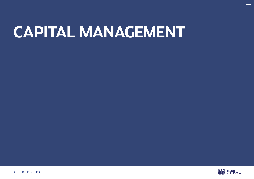# <span id="page-7-0"></span>**CAPITAL MANAGEMENT**



 $\equiv$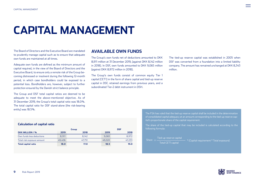# **CAPITAL MANAGEMENT**

The Board of Directors and the Executive Board are mandated to prudently manage capital such as to ensure that adequate own funds are maintained at all times.

Adequate own funds are defined as the minimum amount of capital required, in the view of the Board of Directors and the Executive Board, to ensure only a remote risk of the Group becoming distressed or insolvent during the following 12-month period, in which case bondholders could be exposed to a potential loss. Bondholders are, however, subject to further protection ensured by the Danish strict balance principle.

The Group and DSF total capital ratios are deemed to be adequate to meet the above-mentioned objective. As of 31 December 2019, the Group's total capital ratio was 18.0 %. The total capital ratio for DSF stand-alone (the risk-bearing entity) was 18.5%.

### **AVAILABLE OWN FUNDS**

The Group's own funds net of deductions amounted to DKK 8,911 million at 31 December 2019, (against DKK 8,142 million in 2018). In DSF, own funds amounted to DKK 9,065 million (against DKK 8,972 million in 2018).

The Group's own funds consist of common equity Tier 1 capital (CET1) in the form of share capital and tied-up reserve capital in DSF, retained earnings from previous years, and a subordinated Tier-2 debt instrument in DSH.

The tied-up reserve capital was established in 2005 when DSF was converted from a foundation into a limited liability company. The amount has remained unchanged at DKK 8,343 million.

#### **Calculation of capital ratio**

|                            |        | Group  |        | <b>DSF</b> |
|----------------------------|--------|--------|--------|------------|
| DKK MILLION / %            | 2019   | 2018   | 2019   | 2018       |
| Own funds less deductions  | 8.911  | 8.142  | 9.065  | 8.972      |
| Total risk exposure amount | 49,406 | 47.751 | 49,020 | 47,233     |
| <b>Total capital ratio</b> | 18.0   | 17.0   | 18.5   | 19.0       |

The FSA has ruled that the tied-up reserve capital shall be included in the determination of consolidated capital adequacy at an amount corresponding to the tied-up reserve capital's proportionate share of the capital requirement.

The share of the tied-up capital that may be included is calculated according to the following formula:

Share  $=$ Total CET1 capital Tied-up reserve capital \* (Capital requirement \* Total exposure) =

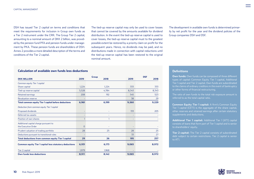DSH has issued Tier 2 capital on terms and conditions that meet the requirements for inclusion in Group own funds as a Tier 2 instrument under the CRR. The Group Tier 2 capital, amounting to a nominal amount of DKK 2 billion, was provided by the pension fund PFA and pension funds under management by PKA. These pension funds are shareholders of DSH. Annex 2 provides a more detailed description of the terms and conditions of the Tier 2 capital.

The tied-up reserve capital may only be used to cover losses that cannot be covered by the amounts available for dividend distribution. In the event the tied-up reserve capital is used to cover losses, the tied-up reserve capital must to the greatest possible extent be restored by a priority claim on profit for the subsequent years. Hence, no dividends may be paid, and no distributions made in connection with capital reductions until the tied-up reserve capital has been restored to the original nominal amount.

The development in available own funds is determined primarily by net profit for the year and the dividend policies of the Group companies DSH and DSF.

#### **Calculation of available own funds less deductions**

| <b>DKK MILLION</b>                                            | 2019     | <b>Group</b><br>2018 | 2019  | <b>DSF</b><br>2018 |
|---------------------------------------------------------------|----------|----------------------|-------|--------------------|
| Common equity Tier 1 capital                                  |          |                      |       |                    |
| Share capital                                                 | 1,224    | 1,224                | 333   | 333                |
| Tied-up reserve capital                                       | 5,528    | 4.784                | 8,343 | 8,343              |
| Retained earnings                                             | 208      | 192                  | 545   | 523                |
| Revaluation reserve                                           |          |                      | 38    | 29                 |
| <b>Total common equity Tier 1 capital before deductions</b>   | 6,961    | 6,199                | 9,260 | 9,229              |
| Deduction from common equity Tier 1 capital                   |          |                      |       |                    |
| Proposed dividends                                            |          | ٠                    | 133   | 205                |
| Deferred tax assets                                           |          |                      |       |                    |
| Position of own shares                                        |          |                      | ۰     |                    |
| Additional capital charge pursuant to                         |          |                      |       |                    |
| the Executive Order                                           | $\Omega$ |                      |       |                    |
| Prudent valuation of trading portfolio                        | 28       | 25                   | 28    | 25                 |
| Deductions pursuant to transitional rules                     |          | ۰                    | 33    | 27                 |
| <b>Total deductions from common equity Tier I capital</b>     | 29       | 26                   | 195   | 257                |
| <b>Common equity Tier 1 capital less statutory deductions</b> | 6,931    | 6,173                | 9,065 | 8,972              |
| Tier 2 capital                                                | 1,979    | 1,968                |       |                    |
| Own funds less deductions                                     | 8,911    | 8,142                | 9.065 | 8,972              |

#### **Definitions**

**Own funds:** Own funds can be composed of three different types of capital: Common Equity Tier 1 capital, Additional Tier 1 capital and Tier 2 capital. Own funds are subordinated to the claims of ordinary creditors in the event of bankruptcy or other forms of financial restructuring.

The ratio of own funds to the total risk exposure amount is referred to as the total capital ratio.

**Common Equity Tier 1 capital:** A firm's Common Equity Tier 1 capital (CET1) is the aggregate of the share capital, other reserves and retained earnings after certain statutory supplements and deductions.

**Additional Tier 1 capital:** Additional Tier 1 (AT1) capital consists of loans that form part of Tier 1 capital and is senior to shareholders' equity.

**Tier 2 capital:** The Tier 2 capital consists of subordinated debt subject to certain restrictions. Tier 2 capital is senior to AT1.

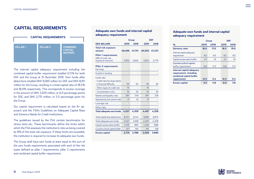## **CAPITAL REQUIREMENTS**



The internal capital adequacy requirement including the combined capital buffer requirement totalled 12.5 % for both DSF and the Group at 31 December 2019. Own funds after deductions totalled DKK 9,065 million for DSF and DKK 8,911 million for the Group, resulting in a total capital ratio of 18.5 % and 18.0% respectively. This corresponds to excess coverage in the amount of DKK 2,929 million, or 6.0 percentage points for DSF, and DKK 2,731 million, or 5.5 percentage point for the Group.

Our capital requirement is calculated based on the 8+ approach and the FSA's Guidelines on Adequate Capital Base and Solvency Needs for Credit Institutions.

The guidelines issued by the FSA contain benchmarks for stress tests etc. These benchmarks define the limits within which the FSA assesses the institution's risks as being covered by 8% of the total risk exposure. If these limits are exceeded, the institution is required to increase its adequate own funds.

The Group shall have own funds at least equal to the sum of the own funds requirements associated with each of the risk types defined as pillar 1 requirements, pillar 2 requirements and combined capital buffer requirement.

#### **Adequate own funds and internal capital Adequate own funds and internal capital adequacy requirement adequacy requirement**

|                                       |        | Group  | <b>DSF</b> |        |  |
|---------------------------------------|--------|--------|------------|--------|--|
| <b>DKK MILLION</b>                    | 2019   | 2018   | 2019       | 2018   |  |
| <b>Total risk exposure</b>            |        |        |            |        |  |
| amount                                | 49.406 | 47.751 | 49,020     | 47.233 |  |
| <b>Pillar 1 requirements</b>          |        |        |            |        |  |
| (8% of total risk<br>exposure amount) | 3.952  | 3,820  | 3.922      | 3,779  |  |
| <b>Pillar 2 requirements</b>          |        |        |            |        |  |
| <b>Earnings</b>                       |        |        |            |        |  |
| Growth in lending                     |        |        |            |        |  |
| Credit risks                          |        |        |            |        |  |
| - Credit risks for large clients      |        |        |            |        |  |
| in financial difficulty               | 50     | 65     | 50         | 65     |  |
| - Other types of credit risk          | 75     | ÷      | 75         |        |  |
| - Concentration risks                 | 32     | 36     | 32         | 36     |  |
| Market and liquidity risks            | 397    | 378    | 397        | 378    |  |
| Operational and control risks         | 21     | 10     | 21         |        |  |
| Leverage risk                         |        |        |            |        |  |
| Other risks                           |        |        |            |        |  |
| <b>Total adequate own funds</b>       | 4,527  | 4,309  | 4,497      | 4,258  |  |
| Total capital less deductions         | 8,911  | 8,142  | 9,065      | 8,972  |  |
| Total adequate own funds              | 4,527  | 4,309  | 4,497      | 4,258  |  |
| Capital conservation buffer           | 1,235  | 895    | 1,226      | 886    |  |
| Countercyclical capital buffer        | 417    | 150    | 414        | 148    |  |
| <b>Excess capital</b>                 | 2,731  | 2,788  | 2,929      | 3,680  |  |

#### **Adequate own funds and internal capital Adequate own funds and internal capital adequacy requirement adequacy requirement**

|                                                                                |      | <b>Group</b> | <b>DSF</b> |
|--------------------------------------------------------------------------------|------|--------------|------------|
| $\frac{9}{0}$                                                                  | 2019 | 2018         | 2019       |
| <b>Solvency ratio</b>                                                          | 18.0 | 17.0         | 18.5       |
| Internal capital adequacy<br>requirement                                       | 9.2  | 9.0          | 9.2        |
| Capital conservation buffer                                                    | 2.5  | 1.9          | 2.5        |
| Countercyclical capital<br>buffer requirement                                  | 0.8  | 0.3          | 0.8        |
| Internal capital adequacy<br>requirement, including<br>combined capital buffer |      |              |            |
| requirement                                                                    | 12.5 | 11.2         | 12.5       |
| <b>Excess capital</b>                                                          | 5.5  | 5.8          | 6.0        |

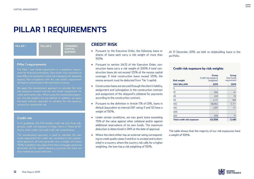# **PILLAR 1 REQUIREMENTS**

| <b>PILLAR 1</b> | <b>PILLAR 2</b> | <b>COMBINED</b>                  |
|-----------------|-----------------|----------------------------------|
|                 |                 | <b>CAPITAL</b><br><b>BUFFERS</b> |
|                 |                 |                                  |

#### **Pillar 1 requirements**

The Pillar 1 own funds requirement is a regulatory requirement for financial institutions. Own funds must represent at least 8% of an institution's total risk exposure (risk weighted assets). Non-compliance with the own fund's requirement will lead to withdrawal of the institution's license.

We apply the standardized approach to calculate the total risk exposure amount and the own funds requirement for credit and market risks. When using the standardized approach, the risk weights are pre-defined. In addition, we apply the basic indicator approach to calculate the risk exposure amount for operational risk.

#### **Credit risk**

In its guidelines, the FSA divides credit risk into three subgroups; credit risk exposure to large clients in financial difficulty, other credit risks and credit risk concentration.

The standardized approach is used to calculate the own funds requirement for credit risk. According to the standardized approach, all loans generally carry a weight of at least 100%. In addition, the value of the ship mortgages cannot be deducted, and for capital adequacy purposes the loans are thus treated as unsecured loans.

#### **CREDIT RISK**

- Pursuant to the Executive Order, the following loans or shares of loans each carry a risk weight of more than 100%:
- Pursuant to section 24(3) of the Executive Order, construction loans carry a risk weight of 200% if total construction loans do not exceed 125% of the excess capital coverage. If total construction loans exceed 125%, the excess amount must be deducted from Tier 1 capital.
- Construction loans are secured through the client's liability, assignment and subrogation in the construction contract and assignment of the shipyard's collateral for payments according to the construction contract.
- Pursuant to the definition in Article 178 of CRR, loans in default (equivalent to internal DSF rating 11 and 12) have a weight of 150%.
- Under certain conditions, we may grant loans exceeding 70% of the value against other collateral and/or against additional reservations of its own funds. The maximum deduction is determined in DKK at the date of approval.
- Where the client either has an external rating corresponding to credit quality steps 5 and 6 or is unrated and is domiciled in a country where the country risk calls for a higher weighting, the loan has a risk weighting of 150%.

At 31 December 2019, we held no shipbuilding loans in the portfolio.

#### **Credit risk exposure by risk weights**

| <b>Risk weight</b>                | Group<br>Credit risk exposure<br>(weighted) | Group<br>Own funds<br>requirement |  |  |
|-----------------------------------|---------------------------------------------|-----------------------------------|--|--|
| <b>DKK MILLION</b>                | 2019                                        | 2019                              |  |  |
| 0                                 |                                             |                                   |  |  |
| 10                                | 594                                         | 47                                |  |  |
| 20                                | 243                                         | 19                                |  |  |
| 50                                | 2,111                                       | 169                               |  |  |
| 100                               | 38,964                                      | 3,117                             |  |  |
| 150                               | 1,387                                       | ווו                               |  |  |
| 200                               |                                             |                                   |  |  |
| 250                               | 209                                         | 17                                |  |  |
| <b>Total credit risk exposure</b> | 43,508                                      | 3,481                             |  |  |

The table shows that the majority of our risk exposures have a weight of 100%.

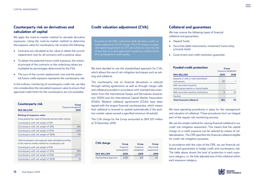#### **Counterparty risk on derivatives and calculation of capital**

We apply the mark-to-market method to calculate derivative exposures. Using the mark-to-market method to determine the exposure value for counterparty risk involves the following:

- Contracts are calculated at fair value to obtain the current replacement cost for all contracts with a positive value.
- To obtain the potential future credit exposure, the notional principal of the contracts or the underlying values are multiplied by percentages determined by the FSA.
- The sum of the current replacement cost and the potential future credit exposure represents the counterparty risk.

In the ordinary monitoring of counterparty credit risk, we take into consideration the calculated exposure value to ensure that approved credit limits for the counterparty are not exceeded.

| <b>Counterparty risk</b>                                                                                          | Group                       |
|-------------------------------------------------------------------------------------------------------------------|-----------------------------|
| <b>DKK MILLION</b>                                                                                                | Exposure (weighted)<br>2019 |
| <b>Netting of exposure value</b>                                                                                  |                             |
| Gross positive fair value of financial contracts after netting                                                    |                             |
| Counterparty with risk weight of 0%                                                                               |                             |
| Counterparty with risk weight of 20%                                                                              | 256                         |
| Counterparty with risk weight of 50%                                                                              | 1,510                       |
| Counterparty with risk weight of 100%                                                                             | 110                         |
| Total counterparty risk exposure value calculated according<br>to the mark-to-market method for counterparty risk |                             |
| Counterparty with risk weight of 0%                                                                               |                             |
| Counterparty with risk weight of 20%                                                                              | 593                         |
| Counterparty with risk weight of 50%                                                                              | 2,373                       |
| Counterparty with risk weight of 100%                                                                             | 31                          |

#### **Credit valuation adjustment (CVA)**

Pursuant to the CRR, institutions shall calculate a credit valuation adjustment (CVA) charge. The CVA charge is a separate capital requirement for OTC derivatives to cover the risk of loss due to a value adjustment caused by a deterioration of a counterparty's credit quality.

We have decided to use the standardised approach for CVA, which allows the use of risk mitigation techniques such as netting and collateral.

The counterparty risk on financial derivatives is reduced through netting agreements as well as through margin calls and collateral provided in accordance with standard documentation from the International Swaps and Derivatives Association (ISDA) and the International Capital Market Association (ICMA). Bilateral collateral agreements (CSAs) have been signed with the largest financial counterparties, which means that collateral is received or posted automatically if the positive market values exceed a specified minimum threshold.

The CVA charge for the Group amounted to DKK 631 million at 31 December 2019.

| <b>CVA charge</b>     | Group        | Group      | Group       |  |
|-----------------------|--------------|------------|-------------|--|
|                       | Exposure     | Exposure   | Own funds   |  |
|                       | (unweighted) | (weighted) | requirement |  |
| <b>DKK MILLION</b>    | 2019         | 2019       | 2019        |  |
| Standardised approach | 1,619        | 631        | 50          |  |

#### **Collateral and guarantees**

We may receive the following types of financial collateral and guarantees:

- Deposit funds
- Securities (debt instruments, investment fund units), primarily listed
- Government and credit institution guarantee

| <b>Funded credit protection</b>                                   | Group<br>Exposure (weighted) |      |
|-------------------------------------------------------------------|------------------------------|------|
| <b>DKK MILLION</b>                                                | 2019                         | 2018 |
| Deposits in cash or cash assimilated<br>instruments               | 97                           |      |
| Debt securities issued by<br>central governments or central banks |                              |      |
| Debt securities issued by institutions                            | б                            | フフ   |
| <b>Equities</b>                                                   |                              |      |
| <b>Total financial collateral</b>                                 | 104                          |      |

We have operating procedures in place for the management and valuation of collateral. These procedures form an integral part of the regular risk monitoring process.

We use the simple method for valuing financial collateral in our credit risk mitigation assesment. This means that the capital charge on a credit exposure can be reduced by means of collateralisation. The CRR specifies the financial collateral eligible for credit risk mitigation purposes.

In accordance with the rules of the CRR, we use financial collateral and guarantees to hedge credit and counterparty risk. The table above shows the level of protection in each exposure category, i.e. the fully adjusted size of the collateral within each exposure category.

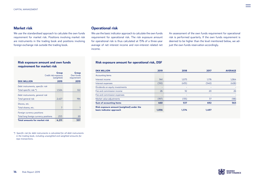#### **Market risk**

We use the standardised approach to calculate the own funds requirement for market risk. Positions involving market risk are instruments in the trading book and positions involving foreign exchange risk outside the trading book.

#### **Risk exposure amount and own funds requirement for market risk**

| Credit risk exposure                  | Group<br>(weighted) | Group<br>Own funds<br>requirement |      |
|---------------------------------------|---------------------|-----------------------------------|------|
| <b>DKK MILLION</b>                    | 2019                |                                   | 2019 |
| Debt instruments, specific risk       |                     |                                   |      |
| Total specific risk *)                | 1,524               |                                   | 122  |
| Debt instruments, general risk        |                     |                                   |      |
| Total general risk                    | 2,427               |                                   | 194  |
| Shares, etc.                          |                     |                                   |      |
| Total shares, etc.                    | $\overline{7}$      |                                   |      |
| Foreign currency positions            |                     |                                   |      |
| Total long foreign currency positions | 253                 |                                   | 20   |
| Total amounts for market risk         | 4,211               |                                   | 337  |

*\*) Specific risk for debt instruments is calculated for all debt instruments in the trading book, including unweighted and weighted amounts for repo transactions.*

#### **Operational risk**

We use the basic indicator approach to calculate the own funds requirement for operational risk. The risk exposure amount for operational risk is thus calculated at 15% of a three-year average of net interest income and non-interest related net income.

An assessment of the own funds requirement for operational risk is performed quarterly. If the own funds requirement is deemed to be higher than the level mentioned below, we adjust the own funds reservation accordingly.

#### **Risk exposure amount for operational risk, DSF**

| <b>DKK MILLION</b>                                                    | 2019  | 2018  | 2017  | <b>AVERAGE</b> |
|-----------------------------------------------------------------------|-------|-------|-------|----------------|
| Accounting items                                                      |       |       |       |                |
| Interest income                                                       | 941   | 1,075 | 1,176 | 1,064          |
| Interest expenses                                                     | (310) | (435) | (540) | (428)          |
| Dividends on equity investments                                       | -     | ٠     | ٠     |                |
| Fee and commission income                                             | 26    | 32    | 20    | 26             |
| Fee and commission expenses                                           | -     | ٠     |       |                |
| Market value adjustments                                              | (197) | (135) | 37    | (98)           |
| <b>Sum of accounting items</b>                                        | 460   | 537   | 692   | 563            |
| Risk exposure amount (weighted) under the<br>basic indicator approach | 1,056 | 1.374 | 1.497 |                |

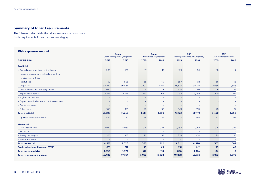#### **Summary of Pillar 1 requirements**

The following table details the risk exposure amounts and own funds requirements for each exposure category.

#### **Risk exposure amount DKK MILLION 2019 2018 2019 2018 2019 2018 2019 2018 Credit risk**  - Central governments or central banks 209 186 17 15 123 86 10 7 - Regional governments or local authorities - - - - - - - - - Public sector entities - - - - - - - - - Institutions 730 608 58 49 687 571 55 46 - Corporates 38,832 36,484 3,107 2,919 38,575 36,100 3,086 2,888 - Covered bonds and mortgage bonds 634 271 51 22 634 271 51 22 - Exposures in default 2,753 3,296 220 264 2,753 3,296 220 264 - High-risk exposures - - - - - - - - - Exposures with short-term credit assessment - - - - - - - - - Equity exposures - - - - - - - - - Other items 32 32 32 332 349 3595 3596 3697 395 32 349 349 3595 32 349 349 3595 32 32 32 32 32 32 32 32 32 3 **Total credit risk 45,508 41,240 3,481 3,299 43,122 40,719 3,450 3,258 Of which**, Counterparty risk 82 862 760 69 61 772 690 62 327 **Market risk**  - Debt instruments 3,952 4,089 316 327 3,952 4,089 316 327 - Shares, etc. 7 7 1 1 7 7 1 1 - Foreign exchange risk 20 20 35 253 432 20 35 253 432 20 35 253 432 20 35 432 20 35 432 20 35 - Commodity risk - - - - - - - - **Total market risk 4,211 4,528 337 362 4,211 4,528 337 362 Credit valuation adjustment (CVA) 631 612 50 49 631 612 50 49 Total operational risk 1,056 1,374 84 110 1,056 1,374 84 110 Total risk exposure amount 49,407 47,754 3,952 3,820 49,020 47,233 3,922 3,779 Group** Credit risk exposure (weighted) **DSF** Own funds requirement **DSF** Risk exposure amount (weighted) **Group** Own funds requirement



 $=$ 

**15** Risk Report 2019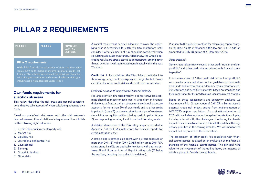# **PILLAR 2 REQUIREMENTS**

| PILLAR <sub>1</sub> | <b>PILLAR 2</b> | <b>COMBINED</b><br><b>CAPITAL</b> |
|---------------------|-----------------|-----------------------------------|
|                     |                 | <b>BUFFERS</b>                    |

#### **Pillar 2 requirements**

While Pillar 1 entails the calculation of risks and the capital requirement on the basis of uniform rules for all credit institutions, Pillar 2 takes into account the individual characteristics of a given institution and covers all relevant risk types, including risks not addressed under Pillar 1.

#### **Own funds requirements for specific risk areas**

This review describes the risk areas and general considerations that we take account of when calculating adequate own funds.

Based on predefined risk areas and other risk elements deemed relevant, the calculation of adequate own funds builds on the following eight risk areas:

- 1. Credit risk including counterparty risk
- 2. Market risk
- 3. Liquidity risk
- 4. Operational and control risk
- 5. Leverage risk
- 6. Earnings
- 7. Growth in lending
- 8. Other risks

A capital requirement deemed adequate to cover the underlying risks is determined for each risk area. Institutions shall consider if other elements of risk should be considered when calculating adequate own funds. Additionally, the Group's operating results are stress-tested to demonstrate, among other things, whether it will require additional capital within the next 12-month.

**Credit risk.** In its quidelines, the FSA divides credit risk into three sub-groups; credit risk exposure to large clients in financial difficulty, other credit risks and credit risk concentration.

#### *Credit risk exposure to large clients in financial difficulty*

For large clients in financial difficulty, a conservative loss estimate should be made for each loan. A large client in financial difficulty is defined as a client whose total credit risk exposure accounts for more than 2% of own funds and is either credit impaired in (stage 3) or showing significant signs of weakness since initial recognition without being credit impaired (stage 2), corresponding to rating 1 and 2c on the FSA rating scale.

A detailed description of the FSA rating steps is provided in Appendix 7 of the FSA's instructions for financial reports for credit institutions, etc.

A large client is defined as a client with a credit exposure of more than DKK 181 million (DKK 9,065 million times 2%). FSA rating steps 1 and 2c are applicable to clients with a rating between 9 and 12 on our internal 12-point rating scale (12 being the weakest, denoting that a client is in default).

Pursuant to the guideline method for calculating capital charges for large clients in financial difficulty, our Pillar 2 add-on amounted to DKK 50 million at 31 December 2019.

#### *Other credit risk*

Other credit risk primarily covers 'other credit risks in the loan portfolio' and 'other credit risk associated with financial counterparties'.

In our assessment of 'other credit risk in the loan portfolio', we consider areas laid down in the guidelines on adequate own funds and internal capital adequacy requirement for credit institutions and sensitivity analyses based on scenarios and their importance for the need to make loan impairment charges.

Based on these assessments and sensitivity analyses, we have made a Pillar 2 reservation of DKK 75 million to absorb potential credit risk impact arising from implementation of IMO 2020 sulphur regulations. As a significant emitter of CO2, with capital-intensive and long-lived assets the shipping industry is faced with, the challenges of reducing its climate impact to a sustainable economy, this will likely define the regulatory priorities in the coming decades. We will monitor the impact and may reassess the reservation.

The assessment of 'other credit risk associated with financial counterparties' is based on an evaluation of the financial standing of the financial counterparties. The principal risks relate to the investment of the trading book, the majority of which is placed in Danish covered bonds.

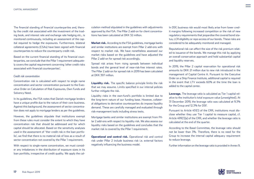The financial standing of financial counterparties and, thereby the credit risk associated with the investment of the trading book, and interest rate and exchange rate hedging etc., is monitored continuously, including an assessment of the capital required to hedge the exposures. Furthermore, bilateral collateral agreements (CSAs) have been signed with financial counterparties to reduce the counterparty credit risk.

Based on the current financial standing of its financial counterparties, we conclude that the Pillar 1 requirement adequately covers the capital requirement concerning 'other credit risks associated with financial counterparties'.

#### *Credit risk concentration*

Concentration risk is calculated with respect to single name concentration and sector concentration pursuant to the Executive Order on Calculation of Risk Exposures, Own Funds and Solvency Need.

In its guidelines, the FSA notes that Danish mortgage lenders have a unique profile due to the nature of their core business. Against this background, the assessment of sector concentration does not apply to mortgage lenders as per the guidelines.

However, the guidelines stipulate that institutions exempt from these rules must consider the extent to which they have concentration risk that should be addressed and for which capital should be allocated. Based on the sensitivity analyses used in the assessment of 'ther credit risk in the loan portfolio', we find that there is no material risk of loss as a result of sector concentration not covered by the Pillar 1 requirement.

With respect to single-name concentration, we must consider any imbalances in the distribution of exposure sizes in its loan portfolio, irrespective of credit quality. We apply the cal-

culation method stipulated in the guidelines with adjustments approved by the FSA. The Pillar 2 add-on for client concentrations has been calculated at DKK 32 million.

**Market risk.** According to the FSA guidelines, mortgage banks and similar institutions are exempt from Pillar 2 add-ons with respect to market risk. We have nonetheless assessed our market risks based on the guidelines and have adjusted the Pillar 2 add-on for spread risk accordingly.

Spread risk arises from rising spreads between individual bonds and the general level of near-risk-free interest rates. The Pillar 2 add-on for spread risk in 2019 has been calculated at DKK 397 million.

**Liquidity risk.** The specific balance principle limits the risk that we may assume. Limits specified in our internal policies further mitigate the risk.

Liquidity risks in the own-fund's portfolio is limited due to the long-term nature of our funding base. However, collateral obligations to derivative counterparties do impose liquidity demand. These are carefully managed and evaluated through risk-management tools including stress tests.

Mortgage banks and similar institutions are exempt from Pillar 2 add-ons with respect to liquidity risk. We also assess our liquidity risks based on the guidelines and concludes that the market risk is covered by the Pillar 1 requirement.

**Operational and control risk.** Operational risk and control risk under Pillar 2 include business risk i.e. external factors negatively influencing the business model.

In DSF, business risk would most likely arise from lower credit margins following increased competition or the risk of new regulatory requirements that jeopardise the covered bond status, LCR eligibility or repo access of our bonds. These risks are considered to be adequately monitored and managed.

Reputational risk can affect the size of the risk premium related to issuance of the bonds. We manage this risk by applying an overall conservative approach and hold substantial capital and liquidity reserves.

In 2019, the Pillar 2 capital reservation for operational risk amounts to DKK 21 million due to new risk introduced in the management of Capital Centre A. Pursuant to the Executive Order on a Ship Finance Institute, additional capital is required in the event that LTV exceeds 60% at the time the loan is added to the capital center.

**Leverage.** The leverage ratio is calculated as Tier 1 capital relative to the institution's total exposure value (unweighted). At 31 December 2019, the leverage ratio was calculated at 9.3% for the Group and 12.3% for DSF.

Pursuant to Article 451(1) of the CRR, institutions must disclose whether they use Tier 1 capital to measure capital, cf. Article 499(1)(a) of the CRR, and whether the leverage ratio is calculated at the end of the quarter.

According to the Basel Committee, the leverage ratio should not be lower than 3%. Therefore, there is no need for the Group to increase the internal capital adequacy requirement to reduce leverage.

Further information on the leverage ratio is provided in Annex 9.

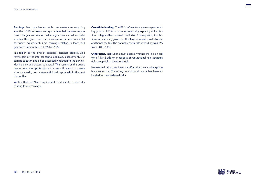**Earnings.** Mortgage lenders with core earnings representing less than 0.1% of loans and guarantees before loan impairment charges and market value adjustments must consider whether this gives rise to an increase in the internal capital adequacy requirement. Core earnings relative to loans and guarantees amounted to 1.2 % for 2019.

In addition to the level of earnings, earnings stability also forms part of the internal capital adequacy assessment. Our earning capacity should be assessed in relation to the our dividend policy and access to capital. The results of the stress test on operating profit show that we will, even in a severe stress scenario, not require additional capital within the next 12-months.

We find that the Pillar 1 requirement is sufficient to cover risks relating to our earnings.

**Growth in lending.** The FSA defines total year-on-year lending growth of 10% or more as potentially exposing an institution to higher-than-normal credit risk. Consequently, institutions with lending growth at this level or above must allocate additional capital. The annual growth rate in lending was 5% from 2018-2019.

**Other risks.** Institutions must assess whether there is a need for a Pillar 2 add-on in respect of reputational risk, strategic risk, group risk and external risk.

No external risks have been identified that may challenge the business model. Therefore, no additional capital has been allocated to cover external risks.

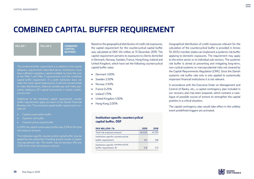# **COMBINED CAPITAL BUFFER REQUIREMENT**

| <b>PILLAR1</b> | <b>PILLAR 2</b> | <b>COMBINED</b><br><b>CAPITAL</b><br><b>BUFFERS</b> |
|----------------|-----------------|-----------------------------------------------------|
|----------------|-----------------|-----------------------------------------------------|

The combined buffer requirement is in addition to the capital adequacy requirements described above. Institutions must have sufficient regulatory capital available to cover the sum of the Pillar 1 and Pillar 2 requirements and the combined capital buffer requirement. If a credit institution does not meet this total capital requirement, it will only be permitted to make distributions, disburse variable pay and make payments relating to AT1 capital instruments if certain conditions are met.

Additional to the individual capital requirement, certain buffer requirements apply pursuant to the Danish Financial Business Act. The combined capital buffer requirement consists of:

- Capital conservation buffer
- Systemic risk buffer
- Countercyclical capital buffer

In 2019, the capital conservation buffer was 2.5% of the total risk exposure amount.

The institution-specific countercyclical capital buffer may be applied by the authorities if lending growth results in higher macroprudential risk. This buffer may be between 0% and 2.5% of the total risk exposure amount.

Based on the geographical distribution of credit risk exposures, the capital requirement for the countercyclical capital buffer was calculated at DKK 414 million at 31 December 2019. The capital requirement pertains to exposures to clients domiciled in Denmark, Norway, Sweden, France, Hong Kong, Iceland and United Kingdom, which have set the following countercyclical capital buffer rates:

- Denmark 1.00%
- Sweden 2.50%
- Norway 2.50%
- France 0.25%
- Iceland 1.75%
- United Kingdom 1.00%
- Hong Kong 2.00%

#### **Institution-specific countercyclical** capital buffer, DSF

| DKK MILLION / %                                               | 2019   | 2018   |
|---------------------------------------------------------------|--------|--------|
| Total risk exposure amount                                    | 49.020 | 47,233 |
| Institution-specific countercyclical<br>buffer requirement    | 414    | 148    |
| Institution-specific countercyclical<br>buffer requirement, % | 0.8    | በ 3    |

Geographical distribution of credit exposures relevant for the calculation of the countercyclical buffer is provided in Annex 10. All EU member states can implement a systemic risk buffer applying to domestic exposures. The requirement may apply to the entire sector or to individual sub-sectors. The systemic risk buffer is aimed at preventing and mitigating long-term, non-cyclical systemic or macroprudential risks not covered by the Capital Requirements Regulation (CRR). Since the Danish systemic risk buffer rate only is only applied to systemically important financial institutions it is not relevant.

In accordance with the Executive Order on Management and Control of Banks, etc., a capital contingency plan included in our recovery plan has been prepared, which contains a catalogue of possible course of actions to strengthen the capital position in a critical situation.

The capital contingency plan would take effect in the unlikely event predefined triggers are activated.

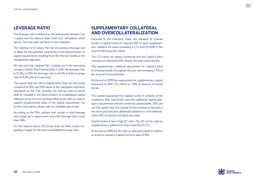### **LEVERAGE RATIO**

The leverage ratio is defined as the relationship between Tier 1 capital and the balance sheet total (incl. off-balance sheet items). The ratio does not factor in any collateral.

The intention is to reduce the risk of excessive leverage and to allow for the potential uncertainty in the determination of capital requirements resulting from the internal models or the standardised approach.

All risks and the material Tier 1 capital are in the operating company Danish Ship Finance (solo). In DSF, the leverage ratio is 12.3%, in DSH the leverage ratio is 42.7% and the leverage ratio is 9.3% only at Group level.

The reason that the ratio is significantly lower for the Group compared to DSF and DSH alone is the calculation technique stipulated by the FSA whereby the tied-up reserve capital shall be included in the determination of consolidated capital adequacy at an amount corresponding to the tied-up reserve capital's proportionate share of the capital requirement. For further information, please refer to 'Available own funds'.

According to the FSA, policies that contain a total leverage ratio target are a requirement when the leverage ratio is less than 10%.

For the reasons above, the Group does not have a policy regarding a target for the total consolidated leverage ratio.

# **SUPPLEMENTARY COLLATERAL AND OVERCOLLATERALIZATION**

Pursuant to the Executive Order, the issuance of covered bonds in Capital Centre A, requires DSF to post supplementary collateral for loans exceeding a LTV limit of 60% in the event of declining ship values.

The LTV ratios are closely monitored and the Capital Centre maintains a collateral buffer should the ship values decline.

The supplementary collateral requirement for Capital Centre A remained steady throughout the year and averaging 1.7% of the amount of issued bonds.

At the end of 2019 the requirement for supplementary capital amounted to DKK 133 million or 1.8% of amount of issued bonds.

The capital requirement for Capital Centre A consists of the mandatory 8% requirement plus the additional capital adequacy requirement and the combined capital buffer. DSF can use the capital from the Capital Centre Institute in General in the cover pool and post additional collateral or overcollateralization (OC) in the form of liquid securities.

Capital Centre A has a high OC ratio. The OC can be used as supplementary collateral to cover breaches of LTV.

At the end of 2019 the OC-ratio i.e. allocated capital in relation to amounts issued in Capital Centre A was 22.8%.

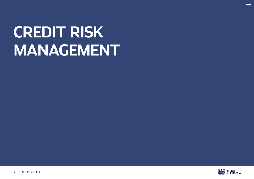# <span id="page-20-0"></span>**CREDIT RISK MANAGEMENT**



 $\equiv$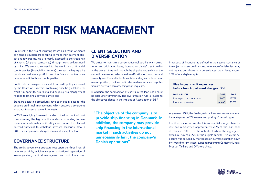# **CREDIT RISK MANAGEMENT**

Credit risk is the risk of incurring losses as a result of clients or financial counterparties failing to meet their payment obligations towards us. We are mainly exposed to the credit risk of clients (shipping companies) through loans collateralised by ships. We are also exposed to the credit risk of financial counterparties (financial institutions) through the high-quality bonds we hold in our portfolio and the financial contracts we have entered into those counterparties.

Credit risk is managed pursuant to a credit policy approved by the Board of Directors, containing specific guidelines for credit risk appetite, risk taking and ongoing risk management relating to lending activities carried out.

Standard operating procedures have been put in place for the ongoing credit risk management, which ensures a consistent approach to assessing credit requests.

In 2019, we slightly increased the size of the loan book without compromising the high credit standards by lending to customers with adequate credit ratings and backed by collateral deemed sufficient to withstand stressed scenarios. Also in 2019, new impairment charges remain at a very low level.

# **GOVERNANCE STRUCTURE**

The credit governance structure rest upon the three lines of defence principle, which ensures organisational separation of loan origination, credit risk management and control functions.

## **CLIENT SELECTION AND DIVERSIFICATION**

We strive to maintain a conservative risk profile when structuring and originating loans, focusing on clients' credit quality at the present time and through the shipping cycle while at the same time ensuring adequate diversification on countries and vessel types. Thus, clients' financial standing and robustness, market position, track record in stressed markets, and reputation are criteria when assessing loan requests.

In addition, the composition of clients in the loan book must be adequately diversified. The diversification rule is related to the objectives clause in the Articles of Association of DSF:

**"The objective of the company is to provide ship financing in Denmark. In addition, the company may provide ship financing in the international market if such activities do not unnecessarily limit the company's Danish operations"**

In respect of financing as defined in the second sentence of the objects clause, credit exposure to a non-Danish client may not, as set out above, at a consolidated group level, exceed 25% of our eligible capital.

#### **Five largest credit exposures before loan impairment charges, DSF**

| <b>DKK MILLION</b>            | 2019   | 2018   |
|-------------------------------|--------|--------|
| Five largest credit exposures | 13,678 | 13.757 |
| Loans and quarantees          | 41.440 | 39.591 |

At year-end 2019, the five largest credit exposures were secured by mortgages on 122 vessels comprising 10 vessel types.

Credit exposure to one client is substantially larger than the rest and represented approximately 20% of the loan book at year-end 2019. It is the only client where the aggregated exposure exceeds 25% of the eligible capital. This credit exposure was secured by mortgages on 53 vessels broken down by three different vessel types representing Container Liners, Product Tankers and Offshore Units.

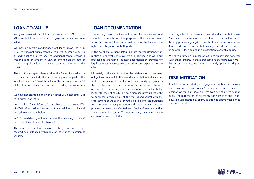### **LOAN-TO-VALUE**

We grant loans with an initial loan-to-value (LTV) of up to 70%, subject to a 1st priority mortgage on the financed vessel(s).

We may, on certain conditions, grant loans above the 70% LTV limit against supplementary collateral and/or subject to an additional capital charge. The additional capital charge is maximised to an amount in DKK determined on the date of the granting of the loan or at disbursement of the loan at the latest.

The additional capital charge takes the form of a deduction from our Tier 1 capital. The deduction equals the part of the loan that exceeds 70% of the value of the mortgaged vessel(s) at the time of calculation, but not exceeding the maximum defined.

We have not granted loans with an initial LTV exceeding 70% for a number of years.

Loans held in Capital Centre A are subject to a maximum LTV of 60% after taking into account any additional collateral posted towards bondholders.

In 2019, we did not grant any loans for the financing of clients' payment of instalments to shipyards.

The loan book after loan impairment charges was on average secured by mortgages within 51% of the market valuation of vessels.

## **LOAN DOCUMENTATION**

The lending operations involve the use of extensive loan and security documentation. The purpose of the loan documentation is to set out the contractual terms of the loan and the rights and obligations of both parties.

In the event that a client defaults on its representations, warranties or undertakings (payment or otherwise) and work-out proceedings are failing, the loan documentation provides for legal remedies whereby we can reduce our exposure to the client.

Ultimately, in the event that the client defaults on its payment obligations pursuant to the loan documentation and such default is continuing, the first priority ship mortgage gives us the right to apply for the issue of a warrant of arrest by way of levy of execution against the mortgaged vessel with the local enforcement court. The execution lien gives us the right to apply for a forced sale of the mortgaged vessel with the enforcement court or in a private sale, if permitted pursuant to the relevant arrest jurisdiction and apply the auction/sales proceeds against the defaulted loan. Such enforcement action takes time and is costly. The use will vary depending on the choice of arrest jurisdiction.

The majority of our loan and security documentation use 'one-sided exclusive jurisdictions clauses', which allows us to take up proceedings against the client in any court of competent jurisdiction to ensure that any legal disputes are resolved in an orderly fashion and in a jurisdiction favourable to us.

We have granted a number of loans to shipowners together with other lenders. In these transactions standard Loan Market Association documentation is typically applied in adapted form.

### **RISK MITIGATION**

In addition to 1st priority mortgages on the financed vessels and assignment of each vessel's primary insurances, the composition of the loan book adheres to a set of diversification rules. The purpose of the diversification rules is to ensure adequate diversification by client, as outlined above, vessel type and country risk.

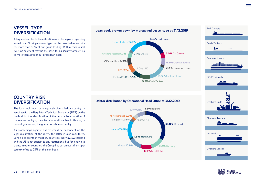# **VESSEL TYPE DIVERSIFICATION**

Adequate loan book diversification must be in place regarding vessel type. No single vessel type may be provided as security for more than 50% of our gross lending. Within each vessel type, no segment may be the basis for as security amounting to more than 33% of our gross loan book.

#### **Loan book broken down by mortgaged vessel type at 31.12.2019**



# **Debtor distribution by Operational Head Offi ce at 31.12.2019** RoW **7.0%** Crude Tankers Singapore **2.5% 3.4%** USA Container Liners **STEETHEEKEE** RO-RO Vessels **Offshore Units**

Bulk Carriers







## **COUNTRY RISK DIVERSIFICATION**

The loan book must be adequately diversified by country. In **18.4%** Bulk Carriers keeping with the Regulatory Technical Standards (RTS) on the method for the identification of the geographical location of the relevant obligor, the clients' operational head office or, in

As proceedings against a client could be dependent on the legal registration of the client, the latter is also monitored. Lending to clients in most EU countries, Norway, Switzerland and the US is not subject to any restrictions, but for lending to clients in other countries, the Group has set an overall limit per **14.9%** Container Liners country of up to 25% of the loan book. Ferries/RO-RO **6.5%** 

#### **Debtor distribution by Operational Head Office at 31.12.2019**

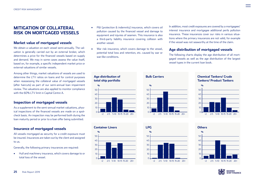## **MITIGATION OF COLLATERAL RISK ON MORTGAGED VESSELS**

#### **Market value of mortgaged vessels**

We obtain a valuation on each vessel semi-annually. The valuation is generally carried out by an external broker, which determines a price for the financed vessels based on supply and demand. We may in some cases assess the value itself, based on, for example, a specific independent market price or external valuations of similar vessels.

Among other things, market valuations of vessels are used to determine the LTV ratios on loans and for control purposes when reassessing the collateral value of mortgaged vessels (after haircuts) as part of our semi-annual loan impairment review. The valuations are also applied to monitor compliance with the 60% LTV limit in Capital Centre A.

#### **Inspection of mortgaged vessels**

As a supplement to the semi-annual market valuations, physical inspections of the financed vessels are made on a spotcheck basis. An inspection may be performed both during the loan maturity period or prior to a loan offer being submitted.

#### **Insurance of mortgaged vessels**

All vessels mortgaged as security for a credit exposure must be insured. Insurances are taken out by the client and assigned to us.

Generally, the following primary insurances are required:

• Hull and machinery insurance, which covers damage to or total loss of the vessel.

- P&I (protection & indemnity) insurance, which covers oil pollution caused by the financed vessel and damage to equipment and injuries of seamen. This insurance is also a third-party liability insurance covering collision with another vessel.
- War risk insurance, which covers damage to the vessel, potential total loss and retention, etc. caused by war or war-like conditions.

In addition, most credit exposures are covered by a mortgagees' interest insurance and mortgagee additional perils pollution insurance. These insurances cover our risks in various situations where the primary insurances are not valid, for example if the vessel was not seaworthy at the time of the claim.

#### **Age distribution of mortgaged vessels**

The following charts display the age distribution of all mortgaged vessels as well as the age distribution of the largest vessel types in the current loan book.









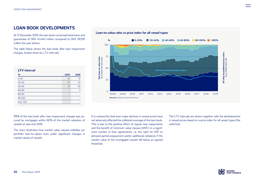# **LOAN BOOK DEVELOPMENTS**

At 31 December 2019, the loan book comprised total loans and guarantees of DKK 41,440 million compared to DKK 39,591 million the year before.

The table below shows the loan book after loan impairment charges, broken down by LTV intervals.

| $\frac{q}{q}$   | 2019 | 2018           |
|-----------------|------|----------------|
| $0 - 20$        | 41   | 41             |
| $20 - 40$       | 37   | 37             |
| $40 - 60$       | 21   | 20             |
| 60-80           |      | $\overline{z}$ |
| 80-90           |      |                |
| 90-100          | ۰    |                |
| <b>Over 100</b> | ۰    |                |





99% of the loan book after loan impairment charges was secured by mortgages within 60% of the market valuation of vessels at year-end 2019.

The chart illustrates how market value clauses stabilise our portfolio loan-to-values even under significant changes in market values of vessels.

It is noteworthy that even major declines in vessel prices have not adversely affected the collateral coverage of the loan book. This is due to the positive effect of regular loan repayments and the benefit of minimum value clauses (MVC) in a significant number of loan agreements, i.e. the right for DSF to demand partial prepayment and/or additional collateral, if the market value of the mortgaged vessels fall below an agreed threshold.

The LTV intervals are shown together with the developments in vessel prices based on a price index for all vessel types (the solid line).

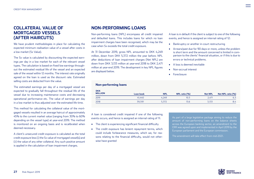# **COLLATERAL VALUE OF MORTGAGED VESSELS (AFTER HAIRCUTS)**

We have prudent methodologies in place for calculating the expected minimum realisation value of a vessel after costs in a low market (Sx Value).

The Sx value is calculated by discounting the expected earnings per day in a low market for each of the relevant vessel types. The calculation is based on fixed low earnings throughout the estimated residual life of the vessel and an expected sale of the vessel within 12 months. The interest rate originally agreed on the loan is used as the discount rate. Estimated selling costs are deducted from the value.

The estimated earnings per day of a mortgaged vessel are expected to gradually fall throughout the residual life of the vessel due to increasing maintenance costs and decreasing operational performance etc. The value of earnings per day in a low market is thus adjusted over the estimated life time.

This method for calculating the collateral value of the mortgaged vessels resulted in an average haircut of approximately 45% to the current market value (ranging from 30% to 60% depending on the vessel type) at year-end 2019. The method is monitored on an ongoing basis and is recalibrated when deemed necessary.

A client's unsecured credit exposure is calculated as the total credit exposure less (i) the Sx value of mortgaged vessel(s) and (ii) the value of any other collateral. Any such positive amount is applied in the calculation of loan impairment charges.

## **NON-PERFORMING LOANS**

Non-performing loans (NPL) encompass all credit impaired and defaulted loans. This includes loans for which no loan impairment charges have been recognised, which may be the case when Sx exceeds the total credit exposure.

At 31 December 2019, gross NPL amounted to DKK 4,249 million, down from DKK 5,372 million the year before. NPL after deductions of loan impairment charges (Net NPL) are down from DKK 3,133 million at year-end 2018 to DKK 2,471 million at year-end 2019. The development in key NPL figures are displayed below.

A loan is in default if the client is subject to one of the following events, and hence is assigned an internal rating of 12:

- Bankruptcy or another in-court restructuring
- Arrears/past due for 90 days or more, unless the problem is short term and the amount concerned is limited in comparison to the clients' financial situation, or if this is due to errors or technical problems.
- A loss is deemed inevitable
- Non-accrual interest
- Foreclosure

| <b>Non-performing loans</b>  |           |            |                  |                |                   |
|------------------------------|-----------|------------|------------------|----------------|-------------------|
| <b>DKK</b><br><b>MILLION</b> | Loan book | <b>NPL</b> | $NPL$ ratio $(%$ | <b>Net NPL</b> | Net NPL ratio (%) |
| 2019                         | 41.440    | 4.249      | 10.3             | 2.471          | 6.3               |
| 2018                         | 39,591    | 5,372      | 13.6             | 3,133          | 8.4               |

A loan is considered credit impaired if one of the following events occurs, and hence is assigned an internal rating of 11:

- The client is experiencing significant financial difficulty
- The credit exposure has lenient repayment terms, which could include forbearance measures, which we, for reasons relating to the financial difficulty, would not otherwise have granted

As part of a large legislative package aiming to reduce the amount of non-performing loans on the balance sheets across the European banking sector, an amendment to the CRR was agreed upon and implemented in April 2019 by the European parliament and the European commission.

The amendment will take effect from mid-2021.



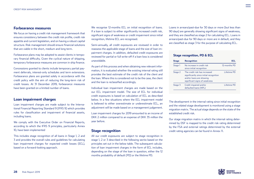#### **Forbearance measures**

We focus on having a credit risk management framework that ensures consistency between the credit risk profile, credit risk appetite and current legislation, and on having a robust capital structure. Risk management should ensure financial solutions that are viable in the short, medium and long term.

Forbearance plans may be adopted to assist clients in temporary financial difficulty. Given the cyclical nature of shipping, temporary forbearance measures are common in ship finance.

Concessions granted to clients include temporary partial payment deferrals, interest-only schedules and term extensions. Forbearance plans are granted solely in accordance with the credit policy with the aim of reducing the long-term risk of credit losses. At 31 December 2019, forbearance measures have been granted on a limited number of loans.

#### **Loan impairment charges**

Loan impairment charges are made subject to the International Financial Reporting Standard 9 (IFRS 9) which provides rules for classification and impairment of financial assets, including loans.

We comply with the Executive Order on Financial Reports, according to which the IFRS 9 principles, particularly Annex 10, have been implemented

This includes stage recognition of all loans in Stage 1, 2 and 3 and provides the overall rules and guidelines for calculating loan impairment charges for expected credit losses (ECL), based on a forward-looking approach.

We recognise 12-months ECL on initial recognition of loans. If a loan is subject to either significantly increased credit risk, significant signs of weakness or credit impairment since initial recognition, lifetime ECL are recognised.

Semi-annually, all credit exposures are reviewed in order to reassess the applicable stage of loans and the size of loan impairment charges. In addition, defaulted credit exposures are reviewed for partial or full write-off if a loan loss is considered unavoidable.

As part of this process and when obtaining new relevant information, it is evaluated whether the existing internal rating still provides the best estimate of the credit risk of the client and the loan. Where this is considered not to be the case, the client and the loan is reclassified accordingly.

Individual loan impairment charges are made based on the our ECL impairment model. The size of ECL for individual credit exposures is based on calculation of ECL as described below. In a few situations where the ECL impairment model is believed to either overestimate or underestimate ECL, an adjustment will be made based on a management judgement.

Loan impairment charges for 2019 amounted to an income of DKK 2 million compared to an expense of DKK 35 million the year before.

#### **Stage recognition**

All our credit exposures are subject to stage recognition in stage 1, 2 or 3 described in the following sectio based on the principles set out in the below table. The subsequent calculation of loan impairment charges in the form of ECL includes, depending on the stage of the loan in question, either the 12 months probability of default (PD) or the lifetime PD.

Loans in arrears/past-due for 30 days or more (but less than 90 days) are generally showing significant signs of weakness, and they are classified as stage 2 for calculating ECL. Loans in arrears/past-due for 90 days or more are in default, and they are classified as stage 3 for the purpose of calculating ECL.

#### **Stage recognition, PD & ECL**

| <b>Stage</b> | Recognition                                                                                                                           | FCL          |
|--------------|---------------------------------------------------------------------------------------------------------------------------------------|--------------|
| Stage 1      | No increase in credit risk<br>since initial recognition                                                                               | 12-months PD |
| Stage 2      | The credit risk has increased<br>significantly since initial recognition<br>and/or loans are showing<br>significant signs of weakness | Lifetime PD  |
| Stage 3      | Credit impaired and/or<br>defaulted loans (NPL)                                                                                       | Lifetime PD  |

The development in the internal rating since initial recognition and the related stage development is monitored using a stage migration matrix. The actual stage depends on the state of the established credit risk.

Our stage migration matrix in which the internal rating determined by DSF is mapped to the credit risk rating determined by the FSA and external ratings determined by the external credit rating agencies can be found in Annex 11.

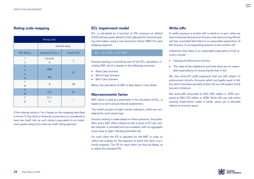| <b>Rating Scale</b>                                     |                         |            |  |  |  |  |
|---------------------------------------------------------|-------------------------|------------|--|--|--|--|
|                                                         | <b>External rating</b>  |            |  |  |  |  |
| <b>DSF Rating</b>                                       | Standard & Poor's       | Danish FSA |  |  |  |  |
| 1<br>$\overline{2}$                                     | AAA/AA<br>A             | 3          |  |  |  |  |
| $\overline{3}$<br>$\overline{4}$<br>5<br>$\overline{6}$ | <b>BBB</b><br><b>BB</b> | 2A         |  |  |  |  |
| $\overline{7}$<br>8                                     | B                       | 2B         |  |  |  |  |
| 9<br>10                                                 | CCC                     | 2C         |  |  |  |  |
| $\overline{\mathbf{1}}$<br>12                           | $CC-C$<br>D             | 1          |  |  |  |  |

If the internal rating is 1 to 4 based on the mapping described in Annex 11, the client or financial counterparty is considered to have low credit risk, as such rating is equivalent to an investment grade rating from external credit rating agencies.

#### **Rating scale mapping ECL impairment model**

ECL is calculated as a function of PD, exposure at default (EAD) and loss given default (LGD), adjusted for forward-looking information using a macroeconomic factor (MEF) for each shipping segment.

#### $ECL = PD * EAD * LGD * MEF$

Scenario testing is involved as part of the ECL calculation, including MEF, which is based on the following scenarios:

- Base Case Scenario
- Worst Case Scenario
- Best Case Scenario

Below, the calculation of MEF is described in more detail.

#### **Macroeconomic factor**

MEF, which is used as a parameter in the calculation of ECL, is based on a semi-annual internal assessment.

The model consists of eight market indicators, which are considered for each vessel type.

Scenario testing is made based on three scenarios, the probability and a MEF effect. Based on this a score of 0-1 per market indicator is provided and accumulated, with an aggregate score close to eight indicating elevated risk.

For each client the PD is adjusted for the MEF in order to reflect the outlook for the segment to which the client is primarily exposed. The PD for each client can thus be below, at or above the standard PD.

#### **Write-offs**

A credit exposure is written-off, in whole or in part, when we have exhausted all practical recovery and restructuring efforts and has concluded that there is no reasonable expectation of full recovery. A corresponding amount is then written-off.

Indications that there is no reasonable expectation of full recovery include:

- Ceasing of enforcement activity
- The value of the collateral is such that there are no reasonable expectations of recovering the loan in full

We may write-off credit exposures that are still subject to enforcement activity. Amounts which are legally owed in full, but which have been partially written off, are still subject to full recovery initiatives.

Net write-offs amounted to DKK 485 million in 2019 compared to DKK 252 million in 2018. Write-offs are well within existing impairments made in earlier years, yet is elevated relative to previous years.

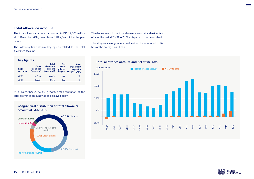**Key fi gures**

#### **Total allowance account**

The total allowance account amounted to DKK 2,035 million at 31 December 2019, down from DKK 2,514 million the year before.

The following table display key figures related to the total allowance account:

The development in the total allowance account and net writeoffs for the period 2000 to 2019 is displayed in the below chart:

The 20-year average annual net write-offs amounted to 14 bps of the average loan book.

| <b>Rey ngures</b>            |                                  |                                                    |                                              |                                                     |  |  |  |
|------------------------------|----------------------------------|----------------------------------------------------|----------------------------------------------|-----------------------------------------------------|--|--|--|
| <b>DKK</b><br><b>MILLION</b> | Gross<br>loan book<br>(year-end) | <b>Total</b><br>allowance<br>account<br>(year-end) | <b>Net</b><br>write-<br>offs for<br>the year | Loan<br>impairment<br>charges for<br>the year (bps) |  |  |  |
| 2019                         | 41,440                           | 2,035                                              | 485                                          | 0                                                   |  |  |  |
| 2018                         | 39.591                           | 2.514                                              | 252                                          | 9                                                   |  |  |  |

At 31 December 2019, the geographical distribution of the total allowance account was as displayed below:

**Geographical distribution of total allowance** 



#### **DKK MILLION Total allowance account Net write-offs**





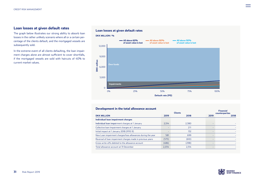#### **Loan losses at given default rates**

The graph below illustrates our strong ability to absorb loan losses in the rather unlikely scenario where all or a certain percentage of the clients default, and the mortgaged vessels are subsequently sold.

In the extreme event of all clients defaulting, the loan impairment charges alone are almost sufficient to cover shortfalls, if the mortgaged vessels are sold with haircuts of 40% to current market values.

#### **Loan losses at given default rates**



#### **Development in the total allowance account**

|       | <b>Clients</b> |      | rınancıal<br>counterparties |
|-------|----------------|------|-----------------------------|
| 2019  | 2018           | 2019 | 2018                        |
|       |                |      |                             |
| 2.514 | 2,380          |      |                             |
| -     | 211            |      |                             |
| ۰     | 132            |      |                             |
| 581   | 699            |      |                             |
| (575) | (610)          |      |                             |
| (486) | (298)          |      |                             |
| 2,034 | 2,514          |      |                             |
|       |                |      |                             |



**Financial**

 $\; = \;$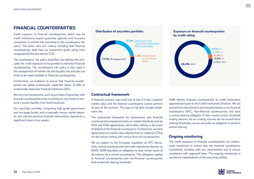## **FINANCIAL COUNTERPARTIES**

Credit exposure to financial counterparties, which may be credit institutions, export guarantee agencies and insurance companies, is entered into according to the counterparty risk policy. The policy sets out criteria, including that financial counterparties shall have an investment grade rating from recognised ECAIs (see section 5.12).

The counterparty risk policy quantifies and defines the principles for credit exposure to be granted to individual financial counterparties. The counterparty risk policy is also used in the management of market risk and liquidity risk and sets out limits to be made available to financial counterparties.

Furthermore, we endeavor to ensure that financial counterparties are global systemically important banks (G-SIB) or systemically important financial institution (SIFI).

We carry out transactions, such as purchase of securities, with financial counterparties when investing our own funds or temporary excess liquidity from bond issuances.

Our securities portfolio, comprising high-grade government and mortgage bonds, and occasionally money market deposits and interest-sensitive financial instruments, represents a significant share of our assets.



## **Distribution of securities portfolio Exposure on financial counterparties by credit rating**



#### **Contractual framework**

A financial contract may entail risk of loss if it has a positive market value and the financial counterparty cannot perform its part of the contract. This type of risk also includes settlement risk.

The contractual framework for transactions with financial counterparties is based primarily on market standards such as ISDA and ICMA agreements, which allow netting in the event of default of the financial counterparty. Furthermore, we have agreements on market-value adjustments or collateral (CSAs) for derivatives trading with various financial counterparties.

We are subject to the European regulation on OTC derivatives, central counterparties and trade repositories (known as EMIR). EMIR stipulates an obligation to clear certain types of derivatives via a central counterparty. This obligation applies to financial counterparties and non-financial counterparties that exceed the clearing threshold.

EMIR defines financial counterparties as credit institutions approved pursuant to the Credit Institutions Directive. We are exempt from this directive and characterised as a non-financial counterparty (NFC). Non-financial counterparties only have a central clearing obligation if they exceed certain threshold trading volumes. As our trading volumes do not exceed these clearing thresholds, we are not under an obligation to perform central clearing.

#### **Ongoing monitoring**

The credit exposure to financial counterparties are continuously monitored to ensure that the financial counterparty consistently complies with our requirements and to ensure compliance with approved lines. The ongoing monitoring is carried out independently of the executing entities.

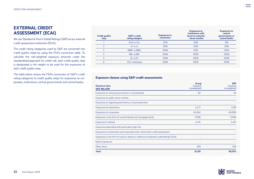# **EXTERNAL CREDIT ASSESSMENT (ECAI)**

We use Standard & Poor's Global Ratings (S&P) as our external credit assessment institution (ECAI).

The credit rating categories used by S&P are converted into credit quality steps by using the FSA's conversion table. To calculate the risk-weighted exposure amounts under the standardised approach for credit risk, each credit quality step is designated a risk weight to be used for the exposures at each credit quality step.

The table below shows the FSA's conversion of S&P's credit rating categories to credit quality steps for exposures to corporates, institutions, central governments and central banks.

| <b>Credit quality</b><br>step | <b>S&amp;P's credit</b><br>rating category | <b>Exposures to</b><br>corporates | <b>Exposures to</b><br>institutions with<br>terms to maturity<br>$\rightarrow$ three months | <b>Exposures to</b><br>central<br>governments or<br>central banks |
|-------------------------------|--------------------------------------------|-----------------------------------|---------------------------------------------------------------------------------------------|-------------------------------------------------------------------|
|                               | AAA to AA-                                 | 20%                               | 20%                                                                                         | $O\%$                                                             |
|                               | $A + t_0 A -$                              | 50%                               | 50%                                                                                         | 20%                                                               |
|                               | BBB+ to BBB-                               | 100%                              | 50%                                                                                         | 50%                                                               |
| 4                             | $BB+to BB-$                                | 100%                              | 100%                                                                                        | 100%                                                              |
|                               | $B+$ to $B-$                               | 150%                              | 100%                                                                                        | 100%                                                              |
| 6                             | CCC+ and below                             | 150%                              | 150%                                                                                        | 150%                                                              |

#### **Exposure classes using S&P credit assessments**

| <b>Exposure class</b><br><b>DKK MILLION</b>                                           | Group<br>Exposure<br>(unweighted) | <b>DSF</b><br>Exposure<br>(unweighted) |
|---------------------------------------------------------------------------------------|-----------------------------------|----------------------------------------|
| Exposures to central governments or central banks                                     | 82                                | 49                                     |
| Exposures to public sector entities                                                   |                                   |                                        |
| Exposures to regional governments or local authorities                                |                                   |                                        |
| <b>Exposures to institutions</b>                                                      | 2,271                             | 2,181                                  |
| Exposures to corporates                                                               | 40,262                            | 40,006                                 |
| Exposures in the form of covered bonds and mortgage bonds                             | 5,936                             | 5,936                                  |
| Exposures in default                                                                  | 2,451                             | 2,451                                  |
| Exposures associated with particularly high risk                                      |                                   |                                        |
| Exposures to institutions and corporates with a short-term credit assessment          |                                   |                                        |
| Exposures in the form of units or shares in collective investment undertakings (CIUs) |                                   |                                        |
| Equity exposures                                                                      |                                   |                                        |
| Other items                                                                           | 349                               | 349                                    |
| <b>Total</b>                                                                          | 51,351                            | 50,972                                 |

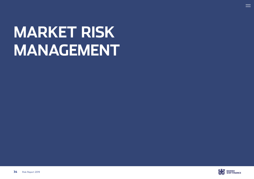# <span id="page-33-0"></span>**MARKET RISK MANAGEMENT**



 $\equiv$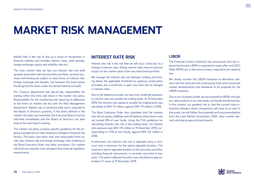# **MARKET RISK MANAGEMENT**

Market Risk is the risk of loss as a result of movements in financial markets and includes interest rates, yield spreads, foreign exchange, equity and volatility risks etc.

The main market risks we face are interest rate and yield spreads associated with the securities portfolio, as bond issuances and lending are subject to restrictions on interest rate, foreign exchange and liquidity risk between the bond issues (funding) and the loans under the Danish balance principle.

Our Treasury department has day-to-day responsibility for trading within the limits laid down in the market risk policy. Responsibility for the monitoring and reporting of adherence to the limits on market risk lies with the Risk Management department. Market risk is monitored daily and is reported to the Board of Directors quarterly. If the limits defined in the market risk policy are breached, the Executive Board must be informed immediately and the Board of Directors not later than at the next board meeting.

The market risk policy contains specific guidelines for the ongoing management of risks relating to changes in financial risk factors. The policy lays down clear and measurable limits on, inter alia, interest rate and foreign exchange risks, building on the Bond Executive Order and other provisions. Our market risk limits are typically more stringent than external regulatory requirements.

#### **INTEREST RATE RISK**

Interest rate risk is the risk that we will incur a loss due to a change in interest rates. Rising interest rates have an adverse impact on the market value of the securities bond portfolio.

We manage the interest rate risk between funding and lending below the applicable threshold by applying conservative principles, but a small loss or gain may arise due to changes in interest rates.

Due to the balance principle, we have only moderate exposure to interest rate risk outside the trading book. At 31 December 2019, the interest rate exposure outside the trading book was calculated at DKK 37 million, against DKK 79 million in 2018.

The Bond Executive Order also stipulates that the interest rate risk on assets, liabilities and off-balance sheet items must not exceed 8% of own funds. Using the FSA guidelines for calculating interest rate risk in the trading book, the interest rate exposure was DKK 135 million at 31 December 2019, corresponding to 1.5% of own funds, against DKK 122 million in 2018.

Furthermore, the interest rate risk is adjusted using a minimum and a maximum for the option-adjusted duration. The maximum option-adjusted duration of the securities portfolio, including financial instruments, is currently restricted to four years. The option-adjusted duration was calculated at approximately 0.7 years at 31 December 2019.

#### **LIBOR**

The Financial Conduct Authority has announced, that the interest benchmark LIBOR is expected to cease after end-2021. Other IBORs are, in the same context, expected to be replaced too.

We closely monitor the LIBOR transition to alternative relevant risk-free rates and will continuously track and incorporate market developments and standards to be prepared for the LIBOR transition.

Due to our business profile, we are exposed to IBORs through our cash products in our loan book, our bonds and derivatives. In this context, our greatest risk is, that the current close interaction between these components will come to an end. In this event, we will follow the proposals and recommendations from the Loan Market Association, ISDA, other market relevant working groups and participants.

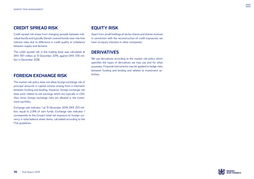## **CREDIT SPREAD RISK**

Credit spread risk arises from changing spreads between individual bonds and typically Danish covered bonds near-risk-free interest rates due to difference in credit quality or imbalance between supply and demand.

The credit spread risk in the trading book was calculated at DKK 397 million at 31 December 2019, against DKK 378 million in December 2018.

### **FOREIGN EXCHANGE RISK**

The market risk policy does not allow foreign exchange risk of principal amounts in capital centres arising from a mismatch between funding and lending. However, foreign exchange risk does exist related to net earnings which are typically in USD. Also minor foreign exchange risks are allowed in the investment portfolio.

Exchange rate indicator 1 at 31 December 2019: DKK 253 million, equal to 2.8% of own funds. Exchange rate indicator 1 corresponds to the Group's total net exposure to foreign currency in total balance sheet items, calculated according to the FSA guidelines.

# **EQUITY RISK**

Apart from small holdings of sector shares and shares received in connection with the reconstruction of credit exposures, we have no equity interests in other companies.

## **DERIVATIVES**

We use derivatives according to the market risk policy which specifies the types of derivatives we may use and for what purposes. Financial instruments may be applied to hedge risks between funding and lending and related to investment activities.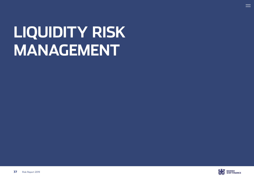# <span id="page-36-0"></span>**LIQUIDITY RISK MANAGEMENT**



 $\equiv$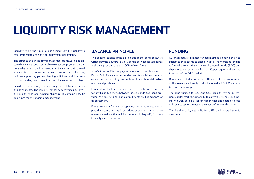# **LIQUIDITY RISK MANAGEMENT**

Liquidity risk is the risk of a loss arising from the inability to meet immediate and short-term payment obligations.

The purpose of our liquidity management framework is to ensure that we are consistently able to meet our payment obligations when due. Liquidity management is carried out to avoid a lack of funding preventing us from meeting our obligations, or from supporting planned lending activities, and to ensure that our funding costs do not become disproportionately high.

Liquidity risk is managed in currency, subject to strict limits and stress tests. The liquidity risk policy determines our overall liquidity risks and funding structure. It contains specific guidelines for the ongoing management.

#### **BALANCE PRINCIPLE**

The specific balance principle laid out in the Bond Executive Order, permits a future liquidity deficit between issued bonds and loans provided of up to 100% of own funds.

A deficit occurs if future payments related to bonds issued by Danish Ship Finance, other funding and financial instruments exceed future incoming payments on loans, financial instruments and positions.

In our internal policies, we have defined stricter requirements for any liquidity deficits between issued bonds and loans provided. We pre-fund all loan commitments well in advance of disbursement.

Funds from pre-funding or repayment on ship mortgages is placed in secure and liquid securities or as short-term money market deposits with credit institutions which qualify for credit quality step II or better.

### **FUNDING**

Our main activity is match-funded mortgage lending on ships subject to the specific balance principle. The mortgage lending is funded through the issuance of covered bonds (SDO) and ship mortgage bonds on Nasdaq Copenhagen, and we are thus part of the OTC market.

Bonds are typically issued in DKK and EUR, whereas most of the loans issued are typically disbursed in USD. We source USD via basis swaps.

The opportunities for sourcing USD liquidity rely on an efficient capital market. Our ability to convert DKK or EUR funding into USD entails a risk of higher financing costs or a loss of business opportunities in the event of market disruption.

The liquidity policy set limits for USD liquidity requirements over time.

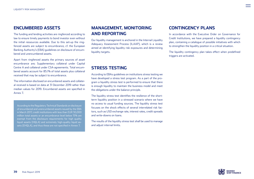## **ENCUMBERED ASSETS**

The funding and lending activities are ringfenced according to law to ensure timely payments to bond investor even without the initial ressources available. Due to this set-up the ringfenced assets are subject to encumbrance, cf. the European Banking Authority's (EBA) guidelines on disclosure of encumbered and unencumbered assets.

Apart from ringfenced assets the primary sources of asset encumbrance are; Supplementary collateral under Capital Centre A and collateral under CSA-agreements. Total encumbered assets account for 85.1% of total assets plus collateral received that may be subject to encumbrance.

The information disclosed on encumbered assets and collateral received is based on data at 31 December 2019 rather than median values for 2019. Encumbered assets are specified in Annex 7.

According to the Regulatory Technical Standards on disclosure of encumbered and unencumbered assets issued by the EBA in March 2017, credit institutions with less than EUR 30,000 million total assets or an encumbrance level below 15% are exempt from the disclosure requirements for high quality liquid assets (HQLA) and extremely high-quality liquid assets (EHQLA), and thus these are not specified in Annex 7.

# **MANAGEMENT, MONITORING AND REPORTING**

Our liquidity management is anchored in the Internal Liquidity Adequacy Assessment Process (ILAAP), which is a review aimed at identifying liquidity risk exposures and determining liquidity targets.

## **STRESS TESTING**

According to EBAs guidelines on institutions stress testing we have developed a stress test program. As a part of the program a liquidity stress test is performed to ensure that there is enough liquidity to maintain the business model and meet the obligations under the balance principle.

The liquidity stress test identifies the resilience of the shortterm liquidity position in a stressed scenario where we have no access to usual funding sources. The liquidity stress test focuses on the shock effects of several interrelated risk factors, such as USD exchange rate, interest rates, credit spreads and write-downs on loans.

The results of the liquidity stress test shall be used to manage and adjust internal limits.

## **CONTINGENCY PLANS**

In accordance with the Executive Order on Governance for Credit Institutions, we have prepared a liquidity contingency plan, containing a catalogue of possible initiatives with which to strengthen the liquidity position in a critical situation.

The liquidity contingency plan takes effect when predefined triggers are activated.

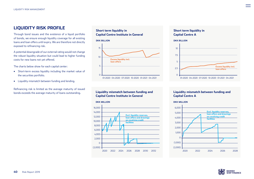### **LIQUIDITY RISK PROFILE**

Through bond issues and the existence of a liquid portfolio of bonds, we ensure enough liquidity coverage for all existing loans and loan offers until expiry. We are therefore not directly exposed to refinancing risk.

A potential downgrade of our external rating would not change the robust liquidity situation but could lead to higher funding costs for new loans not yet offered.

The charts below show for each capital center:

- Short-term excess liquidity including the market value of the securities portfolio.
- Liquidity mismatch between funding and lending.

Refinancing risk is limited as the average maturity of issued bonds exceeds the average maturity of loans outstanding.





#### **Liquidity mismatch between funding and Capital Centre Institute in General**



#### **Short term liquidity in Capital Centre A**



#### **Liquidity mismatch between funding and Capital Centre A**



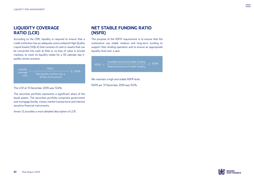# **LIQUIDITY COVERAGE RATIO (LCR)**

According to the CRR, liquidity is required to ensure that a credit institution has an adequate unencumbered High Quality Liquid Assets (HQLA) that consists of cash or assets that can be converted into cash at little or no loss of value in private markets, to meet its liquidity needs for a 30 calendar day liquidity stress scenario.

| Liquidity<br>coverage<br>ratio | <b>HOLA</b>                                          |      |  |
|--------------------------------|------------------------------------------------------|------|--|
|                                | Net liquidity outflow over a<br>30 day stress period | 100% |  |

The LCR at 31 December 2019 was 724%.

The securities portfolio represents a significant share of the liquid assets. The securities portfolio comprises government and mortgage bonds, money market transactions and interest sensitive financial instruments.

Annex 12 provides a more detailed description of LCR.

# **NET STABLE FUNDING RATIO (NSFR)**

The purpose of the NSFR requirement is to ensure that the institutions use stable medium and long-term funding to support their lending operation and to ensure an appropriate liquidity level over a year.



We maintain a high and stable NSFR level.

NSFR per 31 December 2019 was 152%.



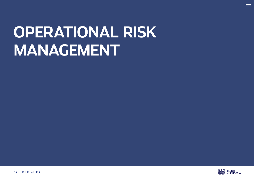# <span id="page-41-0"></span>**OPERATIONAL RISK MANAGEMENT**



 $\equiv$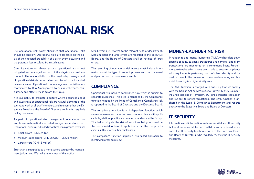# **OPERATIONAL RISK**

Our operational risk policy stipulates that operational risks should be kept low. Operational risks are assessed on the basis of the expected probability of a given event occurring and the potential loss resulting from such event.

Given its nature and characteristics, operational risk is best mitigated and managed as part of the day-to-day business conduct. The responsibility for the day-to-day management of operational risks is decentralised and lies with the individual business areas. Operational risk management activities are coordinated by Risk Management to ensure coherence, consistency and effectiveness across the Group.

It is our policy to promote a culture where openness about and awareness of operational risk are natural elements of the everyday work of all staff members, and to ensure that the Executive Board and the Board of Directors are briefed regularly on key risk areas.

As part of operational risk management, operational risk events are systematically recorded, categorised and reported. Operational errors are divided into three main groups by value;

- Small errors (<DKK 25,000)
- Medium-sized errors (DKK 25,000 DKK 5 million)
- Large errors (>DKK 5 million)

Errors can be upgraded to a more severe category by management judgement. We make regular use of this option.

Small errors are reported to the relevant head of department. Medium-sized and large errors are reported to the Executive Board, and the Board of Directors shall be notified of large errors.

The recording of operational risk events must include information about the type of product, process and risk concerned and plan action for more severe events.

### **COMPLIANCE**

Operational risk includes compliance risk, which is subject to separate guidelines. This area is managed by the Compliance function headed by the Head of Compliance. Compliance risk is reported to the Board of Directors and the Executive Board.

The compliance function is an independent function which serves to assess and report on any non-compliance with applicable legislation, practice and market standards in the Group. This helps mitigate the risk of sanctions being imposed on the Group, a risk of loss of reputation or that the Group or its clients suffer material financial losses.

The compliance function applies a risk-based approach to identifying areas to review.

#### **MONEY-LAUNDERING RISK**

In relation to anti-money laundering (AML), we have laid down specific policies, business procedures and controls, and client transactions are monitored on a continuous basis. Furthermore, extensive efforts have been made to ensure compliance with requirements pertaining proof of client identity and the quality thereof. The prevention of money-laundering and terrorist financing is a high-priority area.

The AML function is charged with ensuring that we comply with the Danish Act on Measures to Prevent Money Laundering and Financing of Terrorism, EU Funds Transfer Regulation and EU anti-terrorism regulations. The AML function is anchored in the Legal & Compliance Department and reports directly to the Executive Board and Board of Directors.

# **IT SECURITY**

Information and information systems are vital, and IT security is therefore essential to our credibility and continued existence. The IT security function reports to the Executive Board and Board of Directors, who regularly reviews the IT security measures.

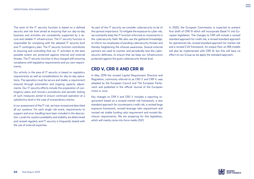The work of the IT security function is based on a defined security and risk level aimed at ensuring that our day-to-day business and activities are consistently supported by a secure and reliable IT infrastructure. The IT security function is responsible for complying with the adopted IT security level and IT contingency plan. The IT security function contributes to ensuring and controlling that our IT activities to the best possible extent are protected against internal and external threats. The IT security function is thus charged with ensuring compliance with legislative requirements and our own requirements.

Our activity in the area of IT security is based on regulatory requirements as well as considerations for day-to-day operations. The operation must be secure and stable, a requirement ensured through automation and ongoing capacity adjustments. Our IT security efforts include the preparation of contingency plans and recovery procedures and periodic testing of such measures aimed to ensure continued operation at a satisfactory level in the case of extraordinary events.

In our assessment of the IT risk, we have revised and described all our systems. For each single risk event, requirements to support and error handling have been included in the description. Levels for system availability and stability are determined and revised regularly and IT security is frequently tested with the use of external expertise.

As part of the IT security we consider cybersecurity to be of the upmost importance. To mitigate the exposure to cyber risk, we constantly keep the IT function informed on movements in the cybersecurity field. We also use the gathered knowledge, to inform our employees of pending cybersecurity threats and thereby heightening the inhouse awareness. Several external partners are used to monitor and periodically test the cybersecurity defenses, to ensure that we keep our infrastructure protected against the given cybersecurity threat level.

#### **CRD V, CRR II AND CRR III**

In May 2019 the revised Capital Requirement Directive and Regulation, commonly referred to as CRD V and CRR II, was adopted by the European Council and The European Parliament and published in the official Journal of the European Union in June.

Key changes to CRR II and CRD V includes a reporting requirement based on a revised market risk framework, a new standard approach for counterparty credit risk, a revised large exposure framework, revised leverage ratio requirement and revised net stable funding ratio requirement and revised disclosure requirements. We are preparing for this legislation, which will mainly come into force medio 2021.

In 2020, the European Commission is expected to present first draft of CRR III which will incorporate Basel IV into European legislation. The changes to CRR will include a revised standard approach for credit risk, a revised standard approach for operational risk, revised standard approach for market risk and a revised CVA framework. An output floor on IRB models will also be implemented with CRR III, but this will have no effect on our Group as we apply the standard approach.

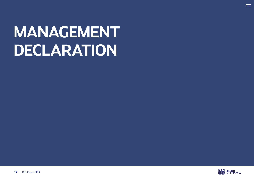# <span id="page-44-0"></span>**MANAGEMENT DECLARATION**



 $\equiv$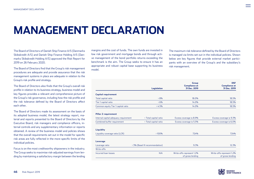# **MANAGEMENT DECLARATION**

The Board of Directors of Danish Ship Finance A/S (Danmarks Skibskredit A/S) and Danish Ship Finance Holding A/S (Danmarks Skibskredit Holding A/S) approved the Risk Report for 2019 on 26 February 2020.

The Board of Directors find that the Group's risk management procedures are adequate and provide assurance that the risk management systems in place are adequate in relation to the Group's risk profile and strategy.

The Board of Directors also finds that the Group's overall risk profile in relation to its business strategy, business model and key figures provides a relevant and comprehensive picture of the Group's risk governance, including how the risk profile and the risk tolerance defined by the Board of Directors affect each other.

The Board of Directors made its assessment on the basis of its adopted business model, the latest strategy report, material and reports presented to the Board of Directors by the Executive Board, risk managers and compliance officers, internal controls and any supplementary information or reports obtained. A review of the business model and policies shows that the overall requirements set out in the model for specific risk areas are fully reflected in the more specific limits of the individual policies.

Focus is on the most creditworthy shipowners in the industry. The Group seeks to maximise risk-adjusted earnings from lending by maintaining a satisfactory margin between the lending

margins and the cost of funds. The own funds are invested in low risk government and mortgage bonds and through active management of the bond portfolio returns exceeding the benchmark is the aim. The Group seeks to ensure it has an appropriate and robust capital base supporting its business model.

The maximum risk tolerance defined by the Board of Directors is managed via limits set out in the individual policies. Shown below are key figures that provide external market participants with an overview of the Group's and the subsidiary's risk management.

|                                       |                                 | Group                                | <b>DSF</b>                           |
|---------------------------------------|---------------------------------|--------------------------------------|--------------------------------------|
|                                       | <b>Legislation</b>              | <b>Compliance at</b><br>31 Dec. 2019 | <b>Compliance at</b><br>31 Dec. 2019 |
| Capital requirement                   |                                 |                                      |                                      |
| Total capital ratio                   | $>8\%$                          | 18.0%                                | 18.5%                                |
| Tier 1 capital ratio                  | 56%                             | 14.0%                                | 18.5%                                |
| Common equity Tier 1 capital ratio    | >4.5%                           | 14.0%                                | 18.5%                                |
|                                       |                                 |                                      |                                      |
| Pillar 2 requirement                  |                                 |                                      |                                      |
| Internal capital adequacy requirement | < Total capital ratio           | Excess coverage is 8.9%              | Excess coverage is 9.3%              |
| Combined buffer requirement           | < Total capital ratio           | Excess coverage is 5.5%              | Excess coverage is 6.0%              |
|                                       |                                 |                                      |                                      |
| Liquidity                             |                                 |                                      |                                      |
| Liquidity coverage ratio (LCR)        | >100%                           | 724%                                 | 724%                                 |
| Leverage                              |                                 |                                      |                                      |
| Leverage ratio                        | > 3% (Basel III recommendation) | 9.3%                                 | 12.3%                                |
| Write-offs                            |                                 |                                      |                                      |
| Incurred Ioan losses                  | N/A                             | Write-offs represent 1.2%            | Write-offs represent 1.2%            |
|                                       |                                 | of gross lending                     | of gross lending                     |

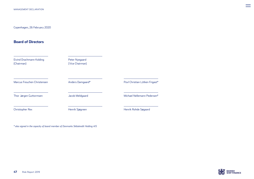#### **Board of Directors**

| Eivind Drachmann Kolding<br>(Chairman) | Peter Nyegaard<br>(Vice Chairman) |                                |
|----------------------------------------|-----------------------------------|--------------------------------|
| Marcus Freuchen Christensen            | Anders Damgaard*                  | Povl Christian Lütken Frigast* |
| Thor Jørgen Guttormsen                 | Jacob Meldgaard                   | Michael Nellemann Pedersen*    |
| Christopher Rex                        | Henrik Sjøgreen                   | Henrik Rohde Søgaard           |

*\* also signed in the capacity of board member of Danmarks Skibskredit Holding A/S*



 $\equiv$